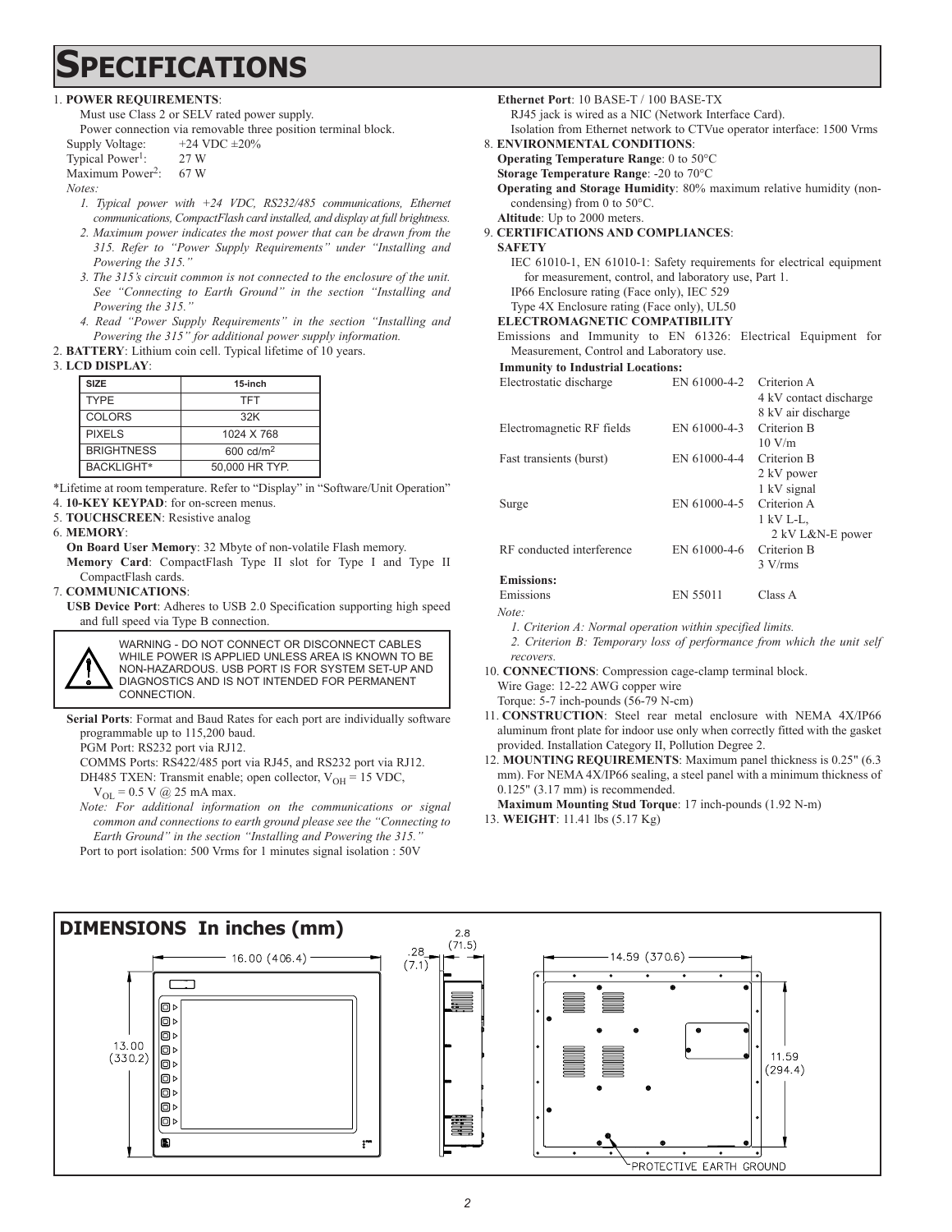## **PECIFICATIONS**

#### 1. **POWER REQUIREMENTS**:

Must use Class 2 or SELV rated power supply.

Power connection via removable three position terminal block.

- Supply Voltage:  $+24$  VDC  $\pm 20\%$ Typical Power<sup>1</sup>: 27 W
- Maximum Power<sup>2</sup>: 67 W

*Notes:* 

- *1. Typical power with +24 VDC, RS232/485 communications, Ethernet communications, CompactFlash card installed, and display at full brightness.*
- *2. Maximum power indicates the most power that can be drawn from the 315. Refer to "Power Supply Requirements" under "Installing and Powering the 315."*
- *3. The 315's circuit common is not connected to the enclosure of the unit. See "Connecting to Earth Ground" in the section "Installing and Powering the 315."*
- *4. Read "Power Supply Requirements" in the section "Installing and Powering the 315" for additional power supply information.*
- 2. **BATTERY**: Lithium coin cell. Typical lifetime of 10 years.

#### 3. **LCD DISPLAY**:

| <b>SIZE</b>       | 15-inch             |
|-------------------|---------------------|
| <b>TYPE</b>       | TFT                 |
| COLORS            | 32K                 |
| <b>PIXELS</b>     | 1024 X 768          |
| <b>BRIGHTNESS</b> | 600 $\text{cd/m}^2$ |
| <b>BACKLIGHT*</b> | 50,000 HR TYP.      |

\*Lifetime at room temperature. Refer to "Display" in "Software/Unit Operation"

4. **10-KEY KEYPAD**: for on-screen menus.

5. **TOUCHSCREEN**: Resistive analog

#### 6. **MEMORY**:

**On Board User Memory**: 32 Mbyte of non-volatile Flash memory. **Memory Card**: CompactFlash Type II slot for Type I and Type II CompactFlash cards.

7. **COMMUNICATIONS**:

**USB Device Port**: Adheres to USB 2.0 Specification supporting high speed and full speed via Type B connection.



**Serial Ports**: Format and Baud Rates for each port are individually software programmable up to 115,200 baud.

PGM Port: RS232 port via RJ12.

COMMS Ports: RS422/485 port via RJ45, and RS232 port via RJ12.

DH485 TXEN: Transmit enable; open collector,  $V_{OH} = 15$  VDC,

 $V_{OL} = 0.5$  V @ 25 mA max.

*Note: For additional information on the communications or signal common and connections to earth ground please see the "Connecting to Earth Ground" in the section "Installing and Powering the 315."* Port to port isolation: 500 Vrms for 1 minutes signal isolation : 50V



RJ45 jack is wired as a NIC (Network Interface Card).

- Isolation from Ethernet network to CTVue operator interface: 1500 Vrms 8. **ENVIRONMENTAL CONDITIONS**:
	- **Operating Temperature Range**: 0 to 50°C

**Storage Temperature Range**: -20 to 70°C

**Operating and Storage Humidity**: 80% maximum relative humidity (noncondensing) from 0 to 50°C.

**Altitude**: Up to 2000 meters.

#### 9. **CERTIFICATIONS AND COMPLIANCES**:

**SAFETY**

IEC 61010-1, EN 61010-1: Safety requirements for electrical equipment for measurement, control, and laboratory use, Part 1. IP66 Enclosure rating (Face only), IEC 529

#### Type 4X Enclosure rating (Face only), UL50

- **ELECTROMAGNETIC COMPATIBILITY**
- Emissions and Immunity to EN 61326: Electrical Equipment for Measurement, Control and Laboratory use.

**Immunity to Industrial Locations:**

| Electrostatic discharge   | EN 61000-4-2 | Criterion A            |
|---------------------------|--------------|------------------------|
|                           |              | 4 kV contact discharge |
|                           |              | 8 kV air discharge     |
| Electromagnetic RF fields | EN 61000-4-3 | Criterion B            |
|                           |              | 10 V/m                 |
| Fast transients (burst)   | EN 61000-4-4 | Criterion B            |
|                           |              | 2 kV power             |
|                           |              | 1 kV signal            |
| Surge                     | EN 61000-4-5 | Criterion A            |
|                           |              | 1 kV L-L,              |
|                           |              | 2 kV L&N-E power       |
| RF conducted interference | EN 61000-4-6 | Criterion B            |
|                           |              | $3 \text{ V/rms}$      |
| <b>Emissions:</b>         |              |                        |
| Emissions                 | EN 55011     | Class A                |

*Note:*

*1. Criterion A: Normal operation within specified limits.*

*2. Criterion B: Temporary loss of performance from which the unit self recovers.*

10. **CONNECTIONS**: Compression cage-clamp terminal block. Wire Gage: 12-22 AWG copper wire

Torque: 5-7 inch-pounds (56-79 N-cm)

11. **CONSTRUCTION**: Steel rear metal enclosure with NEMA 4X/IP66 aluminum front plate for indoor use only when correctly fitted with the gasket provided. Installation Category II, Pollution Degree 2.

12. **MOUNTING REQUIREMENTS**: Maximum panel thickness is 0.25" (6.3 mm). For NEMA 4X/IP66 sealing, a steel panel with a minimum thickness of 0.125" (3.17 mm) is recommended.

**Maximum Mounting Stud Torque**: 17 inch-pounds (1.92 N-m)

13. **WEIGHT**: 11.41 lbs (5.17 Kg)

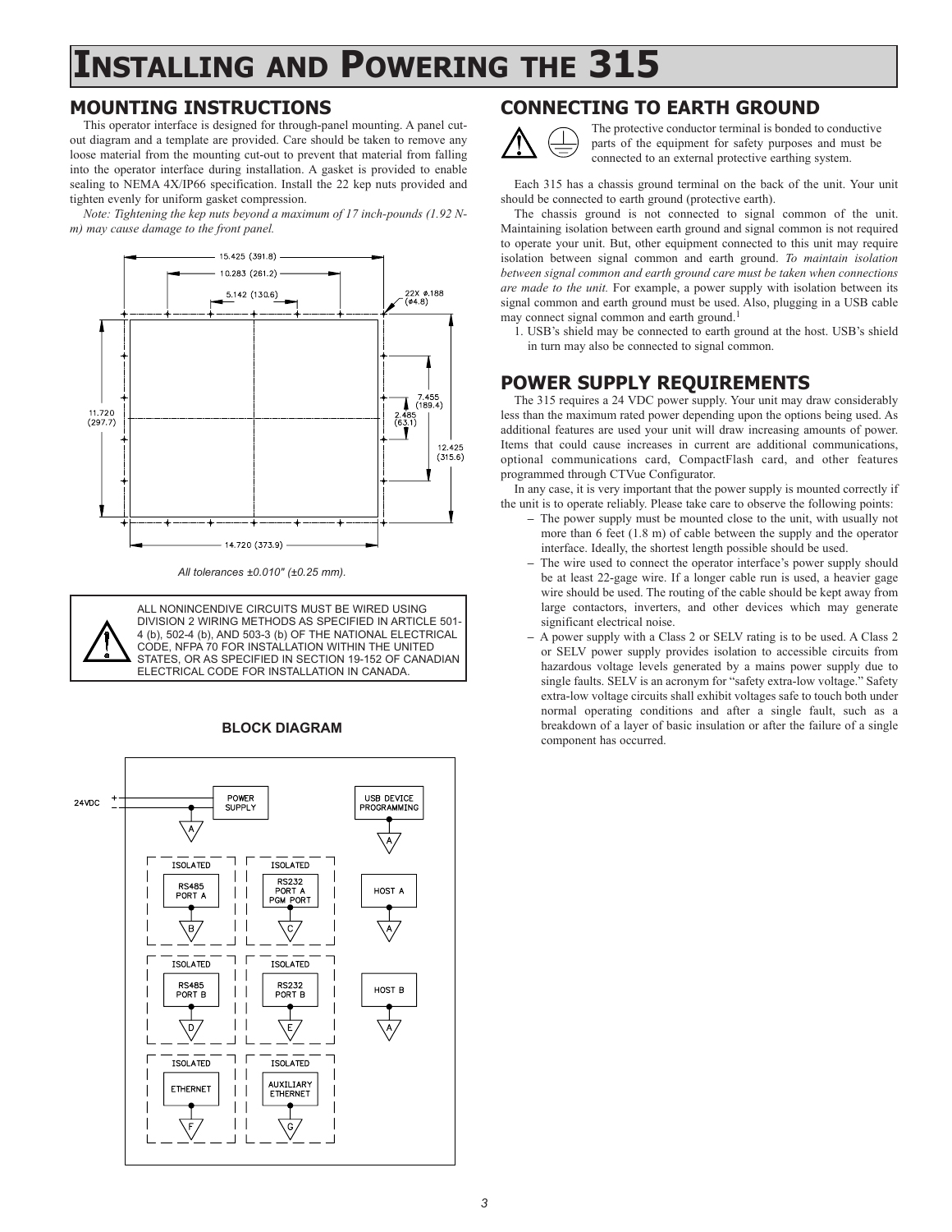## **INSTALLING AND POWERING THE 315**

#### **MOUNTING INSTRUCTIONS**

This operator interface is designed for through-panel mounting. A panel cutout diagram and a template are provided. Care should be taken to remove any loose material from the mounting cut-out to prevent that material from falling into the operator interface during installation. A gasket is provided to enable sealing to NEMA 4X/IP66 specification. Install the 22 kep nuts provided and tighten evenly for uniform gasket compression.

*Note: Tightening the kep nuts beyond a maximum of 17 inch-pounds (1.92 Nm) may cause damage to the front panel.*



*All tolerances ±0.010" (±0.25 mm).*



#### **BLOCK DIAGRAM**



#### **CONNECTING TO EARTH GROUND**



The protective conductor terminal is bonded to conductive parts of the equipment for safety purposes and must be connected to an external protective earthing system.

Each 315 has a chassis ground terminal on the back of the unit. Your unit should be connected to earth ground (protective earth).

The chassis ground is not connected to signal common of the unit. Maintaining isolation between earth ground and signal common is not required to operate your unit. But, other equipment connected to this unit may require isolation between signal common and earth ground. *To maintain isolation between signal common and earth ground care must be taken when connections are made to the unit.* For example, a power supply with isolation between its signal common and earth ground must be used. Also, plugging in a USB cable may connect signal common and earth ground.<sup>1</sup>

1. USB's shield may be connected to earth ground at the host. USB's shield in turn may also be connected to signal common.

## **POWER SUPPLY REQUIREMENTS**

The 315 requires a 24 VDC power supply. Your unit may draw considerably less than the maximum rated power depending upon the options being used. As additional features are used your unit will draw increasing amounts of power. Items that could cause increases in current are additional communications, optional communications card, CompactFlash card, and other features programmed through CTVue Configurator.

In any case, it is very important that the power supply is mounted correctly if the unit is to operate reliably. Please take care to observe the following points:

- **–** The power supply must be mounted close to the unit, with usually not more than 6 feet (1.8 m) of cable between the supply and the operator interface. Ideally, the shortest length possible should be used.
- **–** The wire used to connect the operator interface's power supply should be at least 22-gage wire. If a longer cable run is used, a heavier gage wire should be used. The routing of the cable should be kept away from large contactors, inverters, and other devices which may generate significant electrical noise.
- **–** A power supply with a Class 2 or SELV rating is to be used. A Class 2 or SELV power supply provides isolation to accessible circuits from hazardous voltage levels generated by a mains power supply due to single faults. SELV is an acronym for "safety extra-low voltage." Safety extra-low voltage circuits shall exhibit voltages safe to touch both under normal operating conditions and after a single fault, such as a breakdown of a layer of basic insulation or after the failure of a single component has occurred.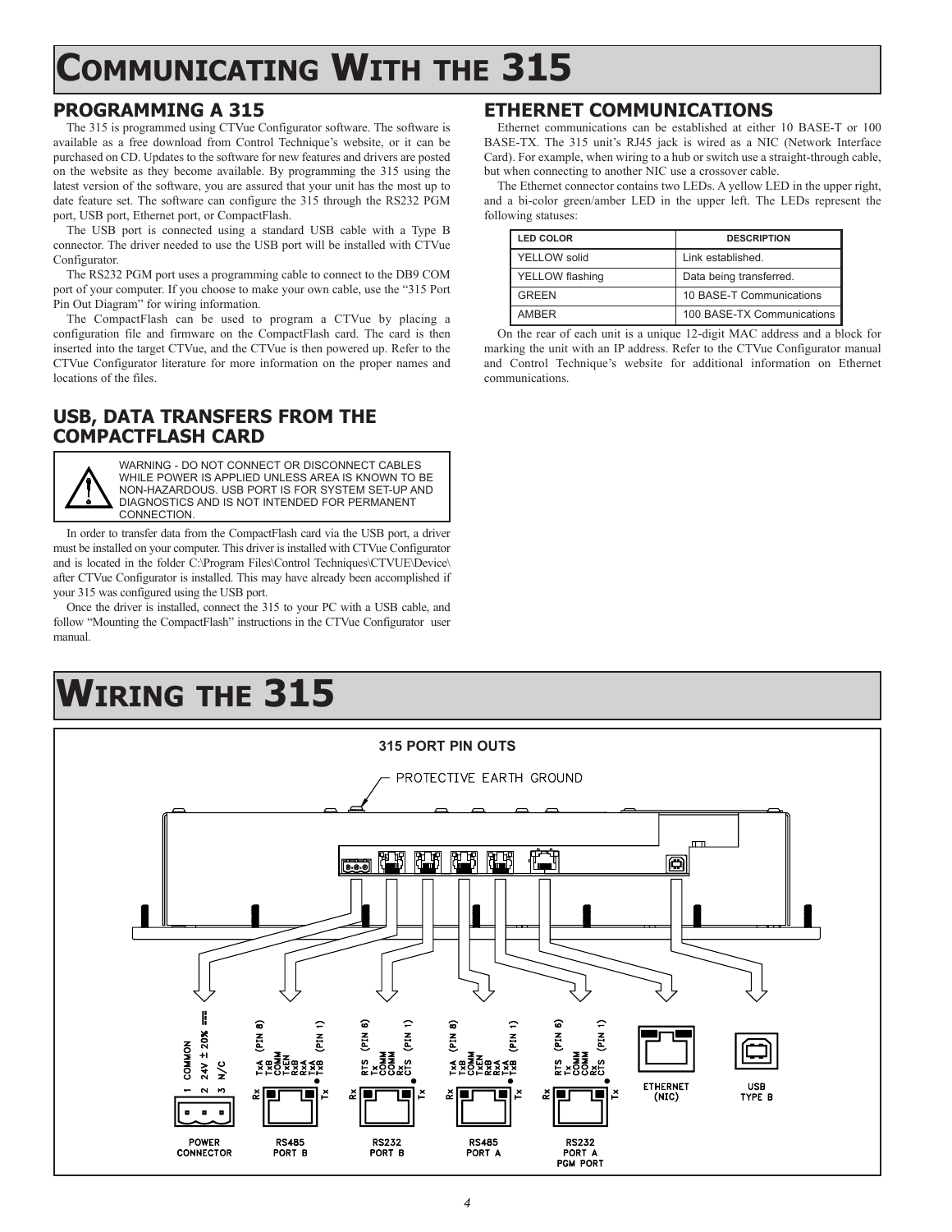# **COMMUNICATING WITH THE 315**

### **PROGRAMMING A 315**

The 315 is programmed using CTVue Configurator software. The software is available as a free download from Control Technique's website, or it can be purchased on CD. Updates to the software for new features and drivers are posted on the website as they become available. By programming the 315 using the latest version of the software, you are assured that your unit has the most up to date feature set. The software can configure the 315 through the RS232 PGM port, USB port, Ethernet port, or CompactFlash.

The USB port is connected using a standard USB cable with a Type B connector. The driver needed to use the USB port will be installed with CTVue Configurator.

The RS232 PGM port uses a programming cable to connect to the DB9 COM port of your computer. If you choose to make your own cable, use the "315 Port Pin Out Diagram" for wiring information.

The CompactFlash can be used to program a CTVue by placing a configuration file and firmware on the CompactFlash card. The card is then inserted into the target CTVue, and the CTVue is then powered up. Refer to the CTVue Configurator literature for more information on the proper names and locations of the files.

### **USB, DATA TRANSFERS FROM THE COMPACTFLASH CARD**



WARNING - DO NOT CONNECT OR DISCONNECT CABLES WHILE POWER IS APPLIED UNLESS AREA IS KNOWN TO BE NON-HAZARDOUS. USB PORT IS FOR SYSTEM SET-UP AND DIAGNOSTICS AND IS NOT INTENDED FOR PERMANENT **CONNECTION** 

In order to transfer data from the CompactFlash card via the USB port, a driver must be installed on your computer. This driver is installed with CTVue Configurator and is located in the folder C:\Program Files\Control Techniques\CTVUE\Device\ after CTVue Configurator is installed. This may have already been accomplished if your 315 was configured using the USB port.

Once the driver is installed, connect the 315 to your PC with a USB cable, and follow "Mounting the CompactFlash" instructions in the CTVue Configurator user manual.

# **WIRING THE 315**

#### **315 PORT PIN OUTS** PROTECTIVE EARTH GROUND 阻阻 刚调 阿里 向 ଇ କ ର Ě  $\tilde{E}$  $\tilde{E}$  $\tilde{E}$  $\tilde{\mathbf{E}}$  $\tilde{E}$ Ě Ē Ľ. ៵ឨ៓ឨ៓៓៓៓៓៓៓៓៓៓៓៓៓៓៓៓ ≶® QQ≸\$<del>Q</del> Ě  $\frac{c}{\mathbf{z}}$ USB<br>TYPE B **ETHERNET**  $(NIC)$ POWER **RS485 RS232 RS485 RS232 CONNECTOR** PORT R PORT R PORT A PORT A<br>PGM PORT

#### **ETHERNET COMMUNICATIONS**

Ethernet communications can be established at either 10 BASE-T or 100 BASE-TX. The 315 unit's RJ45 jack is wired as a NIC (Network Interface Card). For example, when wiring to a hub or switch use a straight-through cable, but when connecting to another NIC use a crossover cable.

The Ethernet connector contains two LEDs. A yellow LED in the upper right, and a bi-color green/amber LED in the upper left. The LEDs represent the following statuses:

| <b>LED COLOR</b>    | <b>DESCRIPTION</b>         |  |
|---------------------|----------------------------|--|
| <b>YELLOW</b> solid | Link established.          |  |
| YELLOW flashing     | Data being transferred.    |  |
| <b>GREEN</b>        | 10 BASE-T Communications   |  |
| <b>AMBER</b>        | 100 BASE-TX Communications |  |

On the rear of each unit is a unique 12-digit MAC address and a block for marking the unit with an IP address. Refer to the CTVue Configurator manual and Control Technique's website for additional information on Ethernet communications.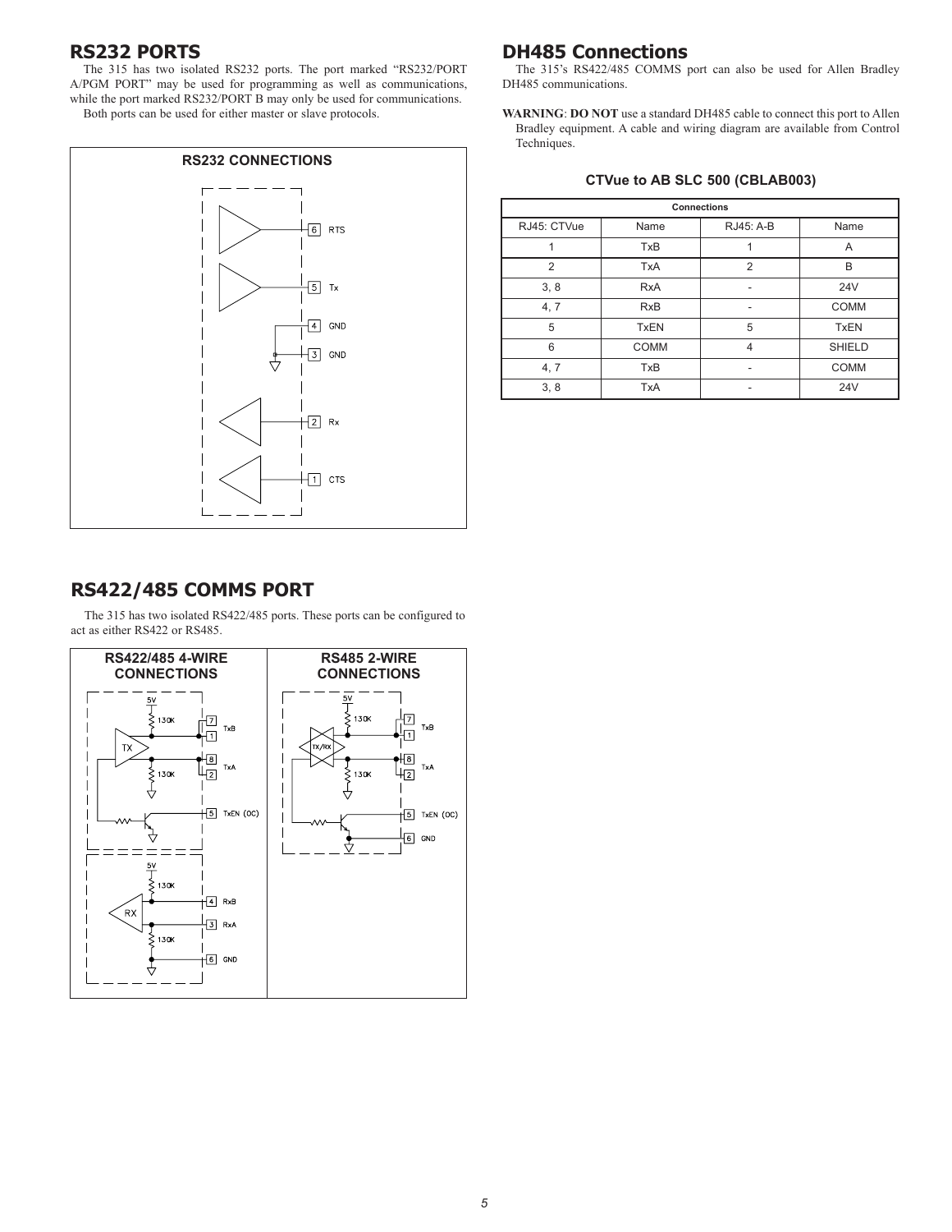#### **RS232 PORTS**

The 315 has two isolated RS232 ports. The port marked "RS232/PORT A/PGM PORT" may be used for programming as well as communications, while the port marked RS232/PORT B may only be used for communications. Both ports can be used for either master or slave protocols.



### **DH485 Connections**

The 315's RS422/485 COMMS port can also be used for Allen Bradley DH485 communications.

**WARNING**: **DO NOT** use a standard DH485 cable to connect this port to Allen Bradley equipment. A cable and wiring diagram are available from Control Techniques.

#### **CTVue to AB SLC 500 (CBLAB003)**

| <b>Connections</b> |             |                |               |  |
|--------------------|-------------|----------------|---------------|--|
| RJ45: CTVue        | Name        | RJ45: A-B      | Name          |  |
|                    | <b>TxB</b>  |                | A             |  |
| 2                  | <b>TxA</b>  | $\overline{2}$ | B             |  |
| 3, 8               | <b>RxA</b>  | ۰              | 24V           |  |
| 4, 7               | <b>RxB</b>  |                | <b>COMM</b>   |  |
| 5                  | <b>TxEN</b> | 5              | <b>TxEN</b>   |  |
| 6                  | <b>COMM</b> | $\overline{4}$ | <b>SHIELD</b> |  |
| 4, 7               | <b>TxB</b>  |                | <b>COMM</b>   |  |
| 3, 8               | <b>TxA</b>  |                | 24V           |  |

#### **RS422/485 COMMS PORT**

The 315 has two isolated RS422/485 ports. These ports can be configured to act as either RS422 or RS485.

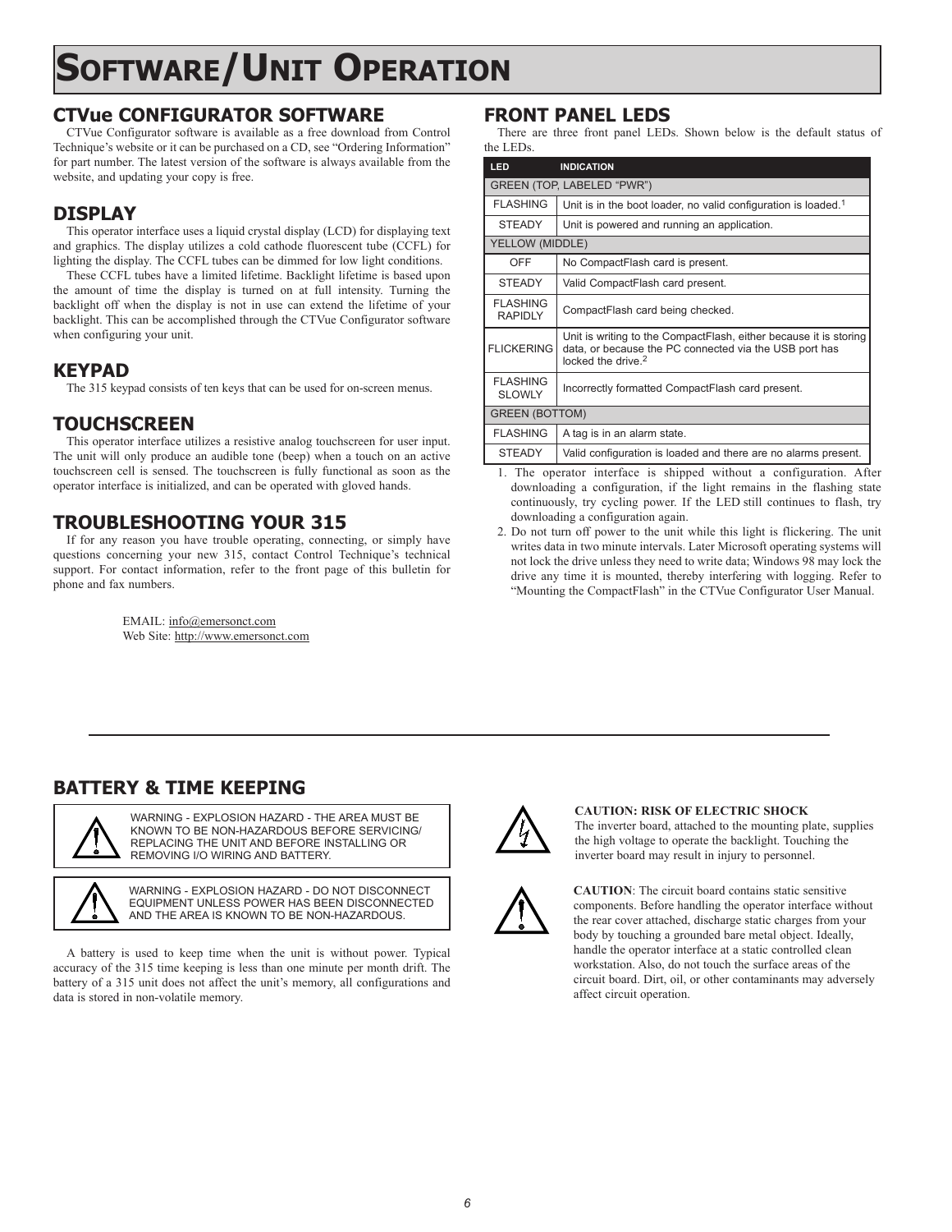# **SOFTWARE/UNIT OPERATION**

## **CTVue CONFIGURATOR SOFTWARE**

CTVue Configurator software is available as a free download from Control Technique's website or it can be purchased on a CD, see "Ordering Information" for part number. The latest version of the software is always available from the website, and updating your copy is free.

## **DISPLAY**

This operator interface uses a liquid crystal display (LCD) for displaying text and graphics. The display utilizes a cold cathode fluorescent tube (CCFL) for lighting the display. The CCFL tubes can be dimmed for low light conditions.

These CCFL tubes have a limited lifetime. Backlight lifetime is based upon the amount of time the display is turned on at full intensity. Turning the backlight off when the display is not in use can extend the lifetime of your backlight. This can be accomplished through the CTVue Configurator software when configuring your unit.

#### **KEYPAD**

The 315 keypad consists of ten keys that can be used for on-screen menus.

## **TOUCHSCREEN**

This operator interface utilizes a resistive analog touchscreen for user input. The unit will only produce an audible tone (beep) when a touch on an active touchscreen cell is sensed. The touchscreen is fully functional as soon as the operator interface is initialized, and can be operated with gloved hands.

## **TROUBLESHOOTING YOUR 315**

If for any reason you have trouble operating, connecting, or simply have questions concerning your new 315, contact Control Technique's technical support. For contact information, refer to the front page of this bulletin for phone and fax numbers.

> EMAIL: info@emersonct.com Web Site: http://www.emersonct.com

#### **FRONT PANEL LEDS**

There are three front panel LEDs. Shown below is the default status of the LEDs.

| <b>LED</b>                        | <b>INDICATION</b>                                                                                                                                             |  |
|-----------------------------------|---------------------------------------------------------------------------------------------------------------------------------------------------------------|--|
| GREEN (TOP, LABELED "PWR")        |                                                                                                                                                               |  |
| <b>FLASHING</b>                   | Unit is in the boot loader, no valid configuration is loaded. <sup>1</sup>                                                                                    |  |
| <b>STEADY</b>                     | Unit is powered and running an application.                                                                                                                   |  |
| YELLOW (MIDDLE)                   |                                                                                                                                                               |  |
| OFF                               | No CompactFlash card is present.                                                                                                                              |  |
| <b>STEADY</b>                     | Valid CompactFlash card present.                                                                                                                              |  |
| <b>FLASHING</b><br><b>RAPIDLY</b> | CompactFlash card being checked.                                                                                                                              |  |
| <b>FLICKERING</b>                 | Unit is writing to the CompactFlash, either because it is storing<br>data, or because the PC connected via the USB port has<br>locked the drive. <sup>2</sup> |  |
| <b>FLASHING</b><br><b>SLOWLY</b>  | Incorrectly formatted CompactFlash card present.                                                                                                              |  |
| <b>GREEN (BOTTOM)</b>             |                                                                                                                                                               |  |
| <b>FLASHING</b>                   | A tag is in an alarm state.                                                                                                                                   |  |
| <b>STEADY</b>                     | Valid configuration is loaded and there are no alarms present.                                                                                                |  |

1. The operator interface is shipped without a configuration. After downloading a configuration, if the light remains in the flashing state continuously, try cycling power. If the LED still continues to flash, try downloading a configuration again.

2. Do not turn off power to the unit while this light is flickering. The unit writes data in two minute intervals. Later Microsoft operating systems will not lock the drive unless they need to write data; Windows 98 may lock the drive any time it is mounted, thereby interfering with logging. Refer to "Mounting the CompactFlash" in the CTVue Configurator User Manual.

## **BATTERY & TIME KEEPING**



WARNING - EXPLOSION HAZARD - THE AREA MUST BE KNOWN TO BE NON-HAZARDOUS BEFORE SERVICING/ REPLACING THE UNIT AND BEFORE INSTALLING OR REMOVING I/O WIRING AND BATTERY.

WARNING - EXPLOSION HAZARD - DO NOT DISCONNECT EQUIPMENT UNLESS POWER HAS BEEN DISCONNECTED AND THE AREA IS KNOWN TO BE NON-HAZARDOUS.

A battery is used to keep time when the unit is without power. Typical accuracy of the 315 time keeping is less than one minute per month drift. The battery of a 315 unit does not affect the unit's memory, all configurations and data is stored in non-volatile memory.



#### **CAUTION: RISK OF ELECTRIC SHOCK**

The inverter board, attached to the mounting plate, supplies the high voltage to operate the backlight. Touching the inverter board may result in injury to personnel.



**CAUTION**: The circuit board contains static sensitive components. Before handling the operator interface without the rear cover attached, discharge static charges from your body by touching a grounded bare metal object. Ideally, handle the operator interface at a static controlled clean workstation. Also, do not touch the surface areas of the circuit board. Dirt, oil, or other contaminants may adversely affect circuit operation.